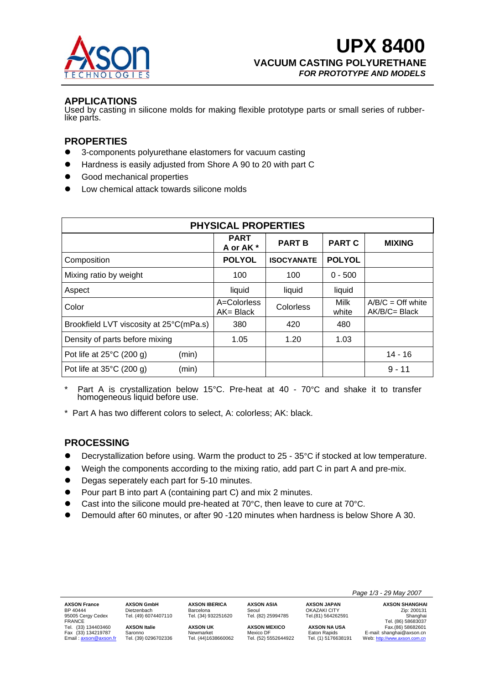

# **APPLICATIONS**

Used by casting in silicone molds for making flexible prototype parts or small series of rubber- like parts.

## **PROPERTIES**

- 3-components polyurethane elastomers for vacuum casting
- Hardness is easily adjusted from Shore A 90 to 20 with part C
- Good mechanical properties
- Low chemical attack towards silicone molds

| <b>PHYSICAL PROPERTIES</b>              |       |                             |                   |               |                                         |  |
|-----------------------------------------|-------|-----------------------------|-------------------|---------------|-----------------------------------------|--|
|                                         |       | <b>PART</b><br>A or AK*     | <b>PART B</b>     | <b>PART C</b> | <b>MIXING</b>                           |  |
| Composition                             |       | <b>POLYOL</b>               | <b>ISOCYANATE</b> | <b>POLYOL</b> |                                         |  |
| Mixing ratio by weight                  |       | 100                         | 100               | $0 - 500$     |                                         |  |
| Aspect                                  |       | liquid                      | liquid            | liquid        |                                         |  |
| Color                                   |       | A=Colorless<br>$AK = Black$ | Colorless         | Milk<br>white | $A/B/C = Off$ white<br>$AK/B/C = Black$ |  |
| Brookfield LVT viscosity at 25°C(mPa.s) |       | 380                         | 420               | 480           |                                         |  |
| Density of parts before mixing          |       | 1.05                        | 1.20              | 1.03          |                                         |  |
| Pot life at $25^{\circ}$ C (200 g)      | (min) |                             |                   |               | $14 - 16$                               |  |
| Pot life at $35^{\circ}$ C (200 g)      | (min) |                             |                   |               | $9 - 11$                                |  |

- Part A is crystallization below 15°C. Pre-heat at 40 70°C and shake it to transfer homogeneous liquid before use.
- \* Part A has two different colors to select, A: colorless; AK: black.

### **PROCESSING**

- Decrystallization before using. Warm the product to 25 35°C if stocked at low temperature.
- Weigh the components according to the mixing ratio, add part C in part A and pre-mix.
- Degas seperately each part for 5-10 minutes.
- Pour part B into part A (containing part C) and mix 2 minutes.
- Cast into the silicone mould pre-heated at  $70^{\circ}$ C, then leave to cure at  $70^{\circ}$ C.
- Demould after 60 minutes, or after 90 -120 minutes when hardness is below Shore A 30.

|                       |                      |                      |                      |                     | Page 1/3 - 29 May 2007       |
|-----------------------|----------------------|----------------------|----------------------|---------------------|------------------------------|
| <b>AXSON France</b>   | <b>AXSON GmbH</b>    | <b>AXSON IBERICA</b> | <b>AXSON ASIA</b>    | <b>AXSON JAPAN</b>  | <b>AXSON SHANGHAI</b>        |
| BP 40444              | Dietzenbach          | Barcelona            | Seoul                | <b>OKAZAKI CITY</b> | Zip: 200131                  |
| 95005 Cergy Cedex     | Tel. (49) 6074407110 | Tel. (34) 932251620  | Tel. (82) 25994785   | Tel.(81) 564262591  | Shanghai                     |
| <b>FRANCE</b>         |                      |                      |                      |                     | Tel. (86) 58683037           |
| Tel. (33) 134403460   | <b>AXSON Italie</b>  | <b>AXSON UK</b>      | <b>AXSON MEXICO</b>  | <b>AXSON NA USA</b> | Fax.(86) 58682601            |
| Fax (33) 134219787    | Saronno              | Newmarket            | Mexico DF            | Eaton Rapids        | E-mail: shanghai@axson.cn    |
| Email: axson@axson.fr | Tel. (39) 0296702336 | Tel. (44)1638660062  | Tel. (52) 5552644922 | Tel. (1) 5176638191 | Web: http://www.axson.com.cn |
|                       |                      |                      |                      |                     |                              |
|                       |                      |                      |                      |                     |                              |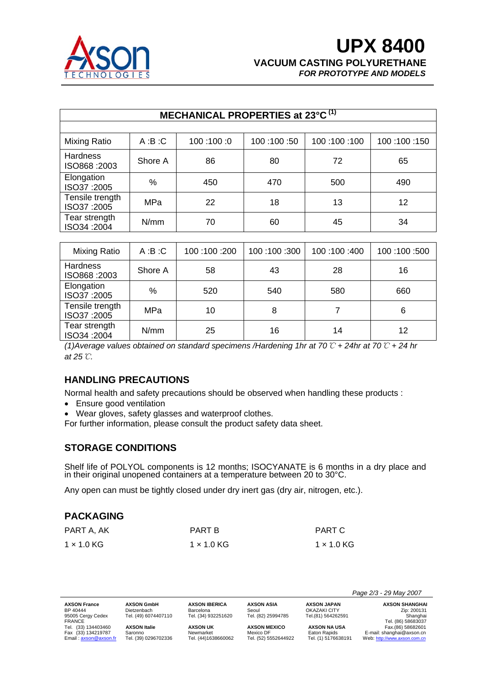

| MECHANICAL PROPERTIES at 23°C <sup>(1)</sup> |              |             |             |             |             |
|----------------------------------------------|--------------|-------------|-------------|-------------|-------------|
| Mixing Ratio                                 | A:B:C        | 100:00:0    | 100:100:50  | 100:100:100 | 100:100:150 |
| <b>Hardness</b><br>ISO868:2003               | Shore A      | 86          | 80          | 72          | 65          |
| Elongation<br>ISO37:2005                     | $\%$         | 450         | 470         | 500         | 490         |
| Tensile trength<br>ISO37:2005                | <b>MPa</b>   | 22          | 18          | 13          | 12          |
| Tear strength<br>ISO34:2004                  | N/mm         | 70          | 60          | 45          | 34          |
|                                              |              |             |             |             |             |
| Mixing Ratio                                 | A:B:C        | 100:100:200 | 100:100:300 | 100:100:400 | 100:100:500 |
| <b>Hardness</b><br>ISO868:2003               | Shore A      | 58          | 43          | 28          | 16          |
| Elongation                                   | $\mathsf{A}$ | roo.        | r 10        | roo.        | rro.        |

 $1$  ISO34 :2004 | N/mm | 25 | 16 | 14 | 12 *(1)Average values obtained on standard specimens /Hardening 1hr at 70*℃ *+ 24hr at 70*℃ *+ 24 hr at 25*℃*.* 

Liongalion | % | 520 | 540 | 580 | 660<br>ISO37 :2005 | % | 520 | 540 | 580 | 660

 $I$  ISO37 :2005 MPa 10 10 8 7 6

# **HANDLING PRECAUTIONS**

Normal health and safety precautions should be observed when handling these products :

• Ensure good ventilation

Tensile trength

Tear strength

- Wear gloves, safety glasses and waterproof clothes.
- For further information, please consult the product safety data sheet.

# **STORAGE CONDITIONS**

Shelf life of POLYOL components is 12 months; ISOCYANATE is 6 months in a dry place and in their original unopened containers at a temperature between 20 to 30°C.

Any open can must be tightly closed under dry inert gas (dry air, nitrogen, etc.).

# **PACKAGING**

| PART A, AK        | PART B     | PART C     |
|-------------------|------------|------------|
| $1 \times 1.0$ KG | 1 × 1.0 KG | 1 × 1.0 KG |

|                       |                      |                      |                      |                     | Page 2/3 - 29 May 2007       |
|-----------------------|----------------------|----------------------|----------------------|---------------------|------------------------------|
| <b>AXSON France</b>   | <b>AXSON GmbH</b>    | <b>AXSON IBERICA</b> | <b>AXSON ASIA</b>    | <b>AXSON JAPAN</b>  | <b>AXSON SHANGHAI</b>        |
| BP 40444              | Dietzenbach          | Barcelona            | Seoul                | OKAZAKI CITY        | Zip: 200131                  |
| 95005 Cergy Cedex     | Tel. (49) 6074407110 | Tel. (34) 932251620  | Tel. (82) 25994785   | Tel.(81) 564262591  | Shanghai                     |
| <b>FRANCE</b>         |                      |                      |                      |                     | Tel. (86) 58683037           |
| Tel. (33) 134403460   | <b>AXSON Italie</b>  | <b>AXSON UK</b>      | <b>AXSON MEXICO</b>  | <b>AXSON NA USA</b> | Fax.(86) 58682601            |
| Fax (33) 134219787    | Saronno              | Newmarket            | Mexico DF            | Eaton Rapids        | E-mail: shanghai@axson.cn    |
| Email: axson@axson.fr | Tel. (39) 0296702336 | Tel. (44)1638660062  | Tel. (52) 5552644922 | Tel. (1) 5176638191 | Web: http://www.axson.com.cn |
|                       |                      |                      |                      |                     |                              |